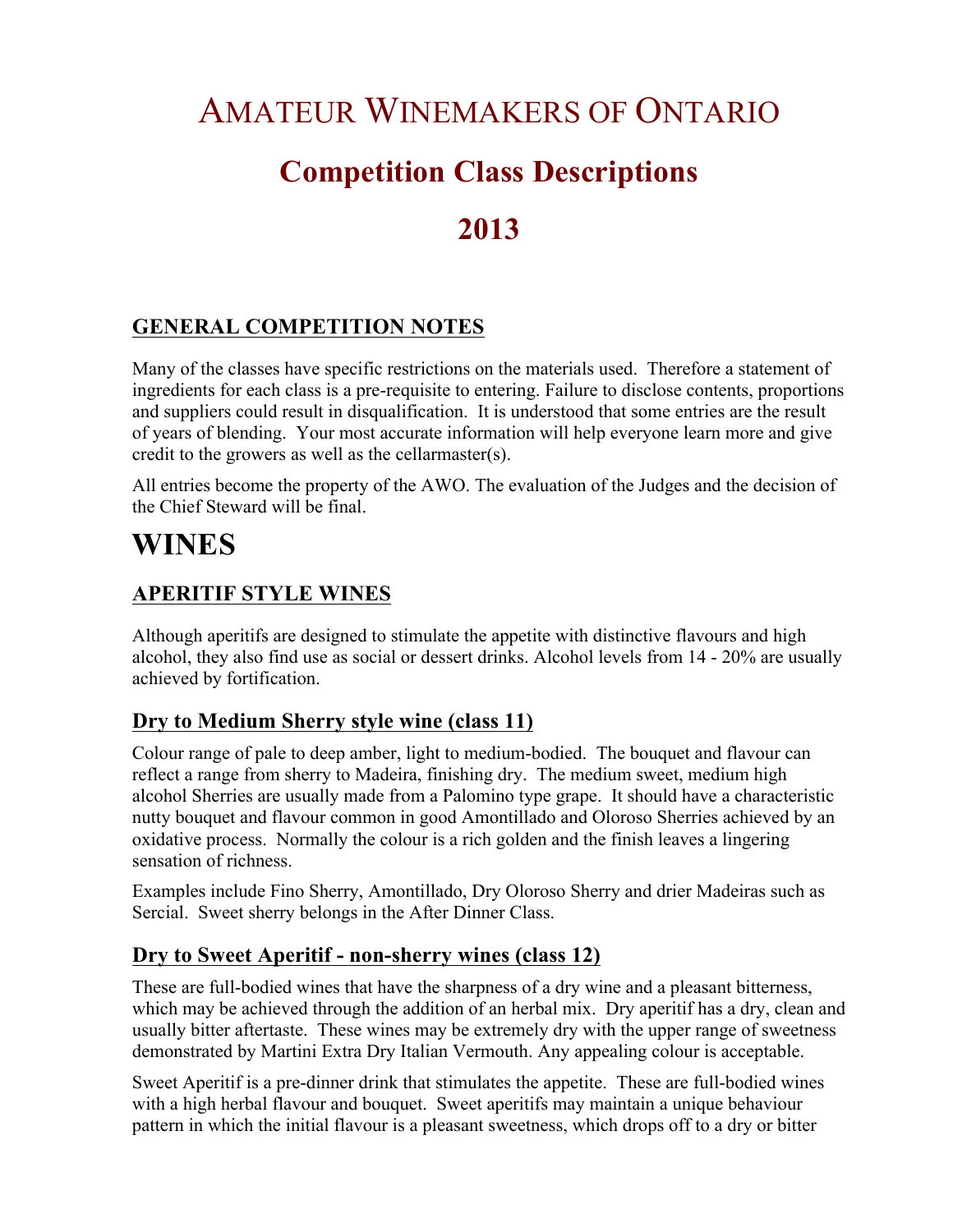# AMATEUR WINEMAKERS OF ONTARIO **Competition Class Descriptions 2013**

# **GENERAL COMPETITION NOTES**

Many of the classes have specific restrictions on the materials used. Therefore a statement of ingredients for each class is a pre-requisite to entering. Failure to disclose contents, proportions and suppliers could result in disqualification. It is understood that some entries are the result of years of blending. Your most accurate information will help everyone learn more and give credit to the growers as well as the cellarmaster(s).

All entries become the property of the AWO. The evaluation of the Judges and the decision of the Chief Steward will be final.

# **WINES**

#### **APERITIF STYLE WINES**

Although aperitifs are designed to stimulate the appetite with distinctive flavours and high alcohol, they also find use as social or dessert drinks. Alcohol levels from 14 - 20% are usually achieved by fortification.

#### **Dry to Medium Sherry style wine (class 11)**

Colour range of pale to deep amber, light to medium-bodied. The bouquet and flavour can reflect a range from sherry to Madeira, finishing dry. The medium sweet, medium high alcohol Sherries are usually made from a Palomino type grape. It should have a characteristic nutty bouquet and flavour common in good Amontillado and Oloroso Sherries achieved by an oxidative process. Normally the colour is a rich golden and the finish leaves a lingering sensation of richness.

Examples include Fino Sherry, Amontillado, Dry Oloroso Sherry and drier Madeiras such as Sercial. Sweet sherry belongs in the After Dinner Class.

#### **Dry to Sweet Aperitif - non-sherry wines (class 12)**

These are full-bodied wines that have the sharpness of a dry wine and a pleasant bitterness, which may be achieved through the addition of an herbal mix. Dry aperitif has a dry, clean and usually bitter aftertaste. These wines may be extremely dry with the upper range of sweetness demonstrated by Martini Extra Dry Italian Vermouth. Any appealing colour is acceptable.

Sweet Aperitif is a pre-dinner drink that stimulates the appetite. These are full-bodied wines with a high herbal flavour and bouquet. Sweet aperitifs may maintain a unique behaviour pattern in which the initial flavour is a pleasant sweetness, which drops off to a dry or bitter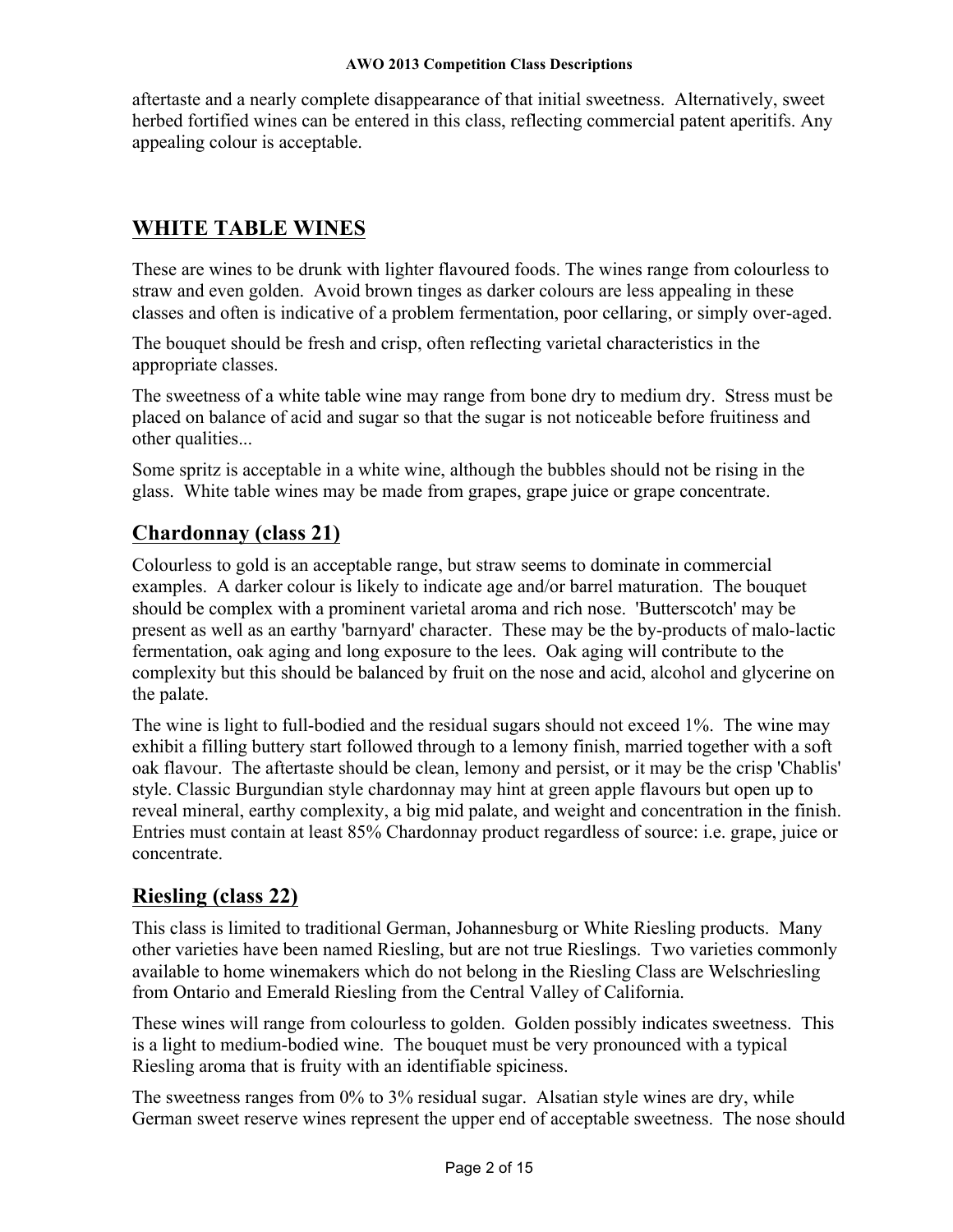aftertaste and a nearly complete disappearance of that initial sweetness. Alternatively, sweet herbed fortified wines can be entered in this class, reflecting commercial patent aperitifs. Any appealing colour is acceptable.

#### **WHITE TABLE WINES**

These are wines to be drunk with lighter flavoured foods. The wines range from colourless to straw and even golden. Avoid brown tinges as darker colours are less appealing in these classes and often is indicative of a problem fermentation, poor cellaring, or simply over-aged.

The bouquet should be fresh and crisp, often reflecting varietal characteristics in the appropriate classes.

The sweetness of a white table wine may range from bone dry to medium dry. Stress must be placed on balance of acid and sugar so that the sugar is not noticeable before fruitiness and other qualities...

Some spritz is acceptable in a white wine, although the bubbles should not be rising in the glass. White table wines may be made from grapes, grape juice or grape concentrate.

#### **Chardonnay (class 21)**

Colourless to gold is an acceptable range, but straw seems to dominate in commercial examples. A darker colour is likely to indicate age and/or barrel maturation. The bouquet should be complex with a prominent varietal aroma and rich nose. 'Butterscotch' may be present as well as an earthy 'barnyard' character. These may be the by-products of malo-lactic fermentation, oak aging and long exposure to the lees. Oak aging will contribute to the complexity but this should be balanced by fruit on the nose and acid, alcohol and glycerine on the palate.

The wine is light to full-bodied and the residual sugars should not exceed 1%. The wine may exhibit a filling buttery start followed through to a lemony finish, married together with a soft oak flavour. The aftertaste should be clean, lemony and persist, or it may be the crisp 'Chablis' style. Classic Burgundian style chardonnay may hint at green apple flavours but open up to reveal mineral, earthy complexity, a big mid palate, and weight and concentration in the finish. Entries must contain at least 85% Chardonnay product regardless of source: i.e. grape, juice or concentrate.

#### **Riesling (class 22)**

This class is limited to traditional German, Johannesburg or White Riesling products. Many other varieties have been named Riesling, but are not true Rieslings. Two varieties commonly available to home winemakers which do not belong in the Riesling Class are Welschriesling from Ontario and Emerald Riesling from the Central Valley of California.

These wines will range from colourless to golden. Golden possibly indicates sweetness. This is a light to medium-bodied wine. The bouquet must be very pronounced with a typical Riesling aroma that is fruity with an identifiable spiciness.

The sweetness ranges from 0% to 3% residual sugar. Alsatian style wines are dry, while German sweet reserve wines represent the upper end of acceptable sweetness. The nose should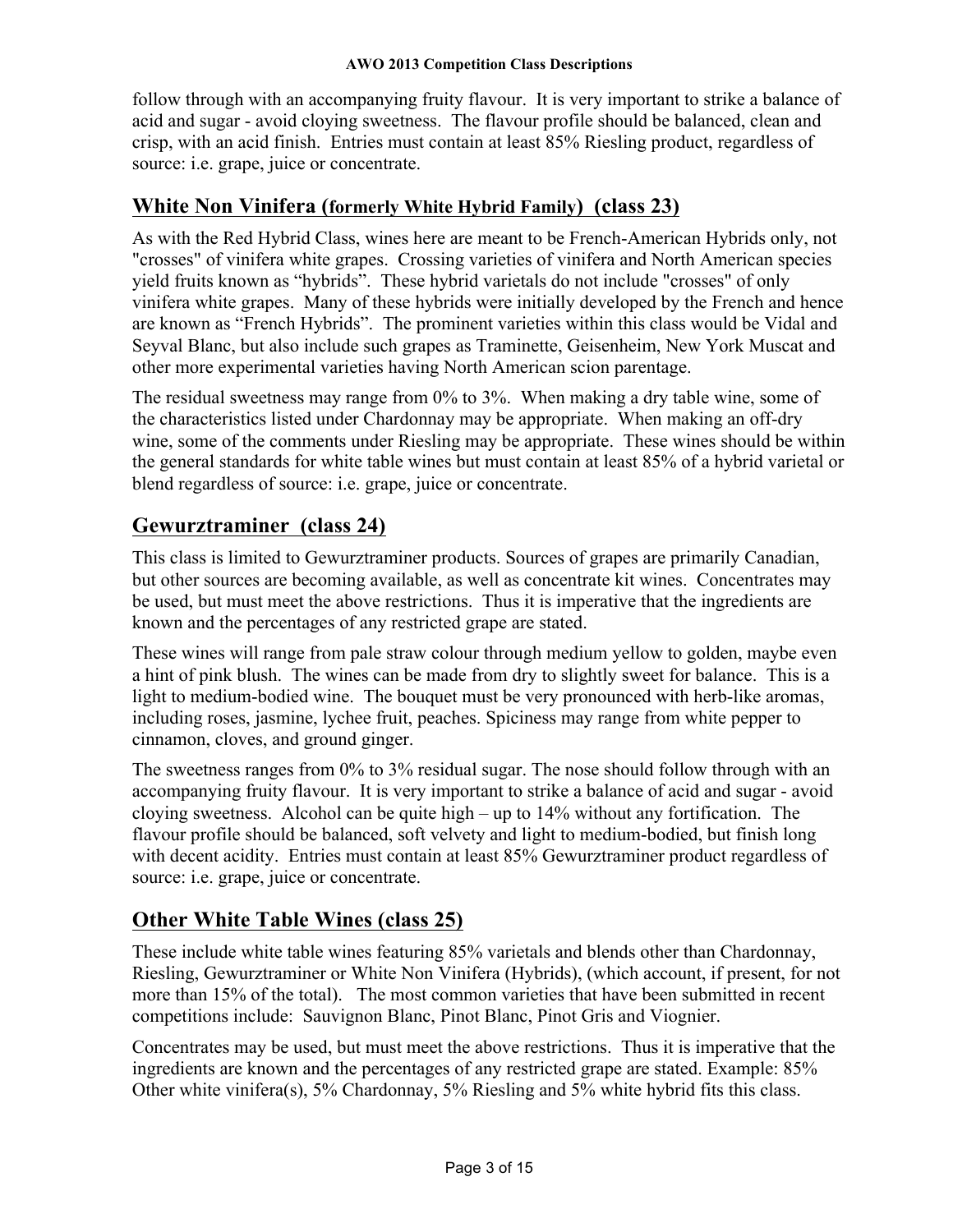follow through with an accompanying fruity flavour. It is very important to strike a balance of acid and sugar - avoid cloying sweetness. The flavour profile should be balanced, clean and crisp, with an acid finish. Entries must contain at least 85% Riesling product, regardless of source: i.e. grape, juice or concentrate.

#### **White Non Vinifera (formerly White Hybrid Family) (class 23)**

As with the Red Hybrid Class, wines here are meant to be French-American Hybrids only, not "crosses" of vinifera white grapes. Crossing varieties of vinifera and North American species yield fruits known as "hybrids". These hybrid varietals do not include "crosses" of only vinifera white grapes. Many of these hybrids were initially developed by the French and hence are known as "French Hybrids". The prominent varieties within this class would be Vidal and Seyval Blanc, but also include such grapes as Traminette, Geisenheim, New York Muscat and other more experimental varieties having North American scion parentage.

The residual sweetness may range from 0% to 3%. When making a dry table wine, some of the characteristics listed under Chardonnay may be appropriate. When making an off-dry wine, some of the comments under Riesling may be appropriate. These wines should be within the general standards for white table wines but must contain at least 85% of a hybrid varietal or blend regardless of source: i.e. grape, juice or concentrate.

#### **Gewurztraminer (class 24)**

This class is limited to Gewurztraminer products. Sources of grapes are primarily Canadian, but other sources are becoming available, as well as concentrate kit wines. Concentrates may be used, but must meet the above restrictions. Thus it is imperative that the ingredients are known and the percentages of any restricted grape are stated.

These wines will range from pale straw colour through medium yellow to golden, maybe even a hint of pink blush. The wines can be made from dry to slightly sweet for balance. This is a light to medium-bodied wine. The bouquet must be very pronounced with herb-like aromas, including roses, jasmine, lychee fruit, peaches. Spiciness may range from white pepper to cinnamon, cloves, and ground ginger.

The sweetness ranges from 0% to 3% residual sugar. The nose should follow through with an accompanying fruity flavour. It is very important to strike a balance of acid and sugar - avoid cloying sweetness. Alcohol can be quite high – up to 14% without any fortification. The flavour profile should be balanced, soft velvety and light to medium-bodied, but finish long with decent acidity. Entries must contain at least 85% Gewurztraminer product regardless of source: i.e. grape, juice or concentrate.

# **Other White Table Wines (class 25)**

These include white table wines featuring 85% varietals and blends other than Chardonnay, Riesling, Gewurztraminer or White Non Vinifera (Hybrids), (which account, if present, for not more than 15% of the total). The most common varieties that have been submitted in recent competitions include: Sauvignon Blanc, Pinot Blanc, Pinot Gris and Viognier.

Concentrates may be used, but must meet the above restrictions. Thus it is imperative that the ingredients are known and the percentages of any restricted grape are stated. Example: 85% Other white vinifera(s), 5% Chardonnay, 5% Riesling and 5% white hybrid fits this class.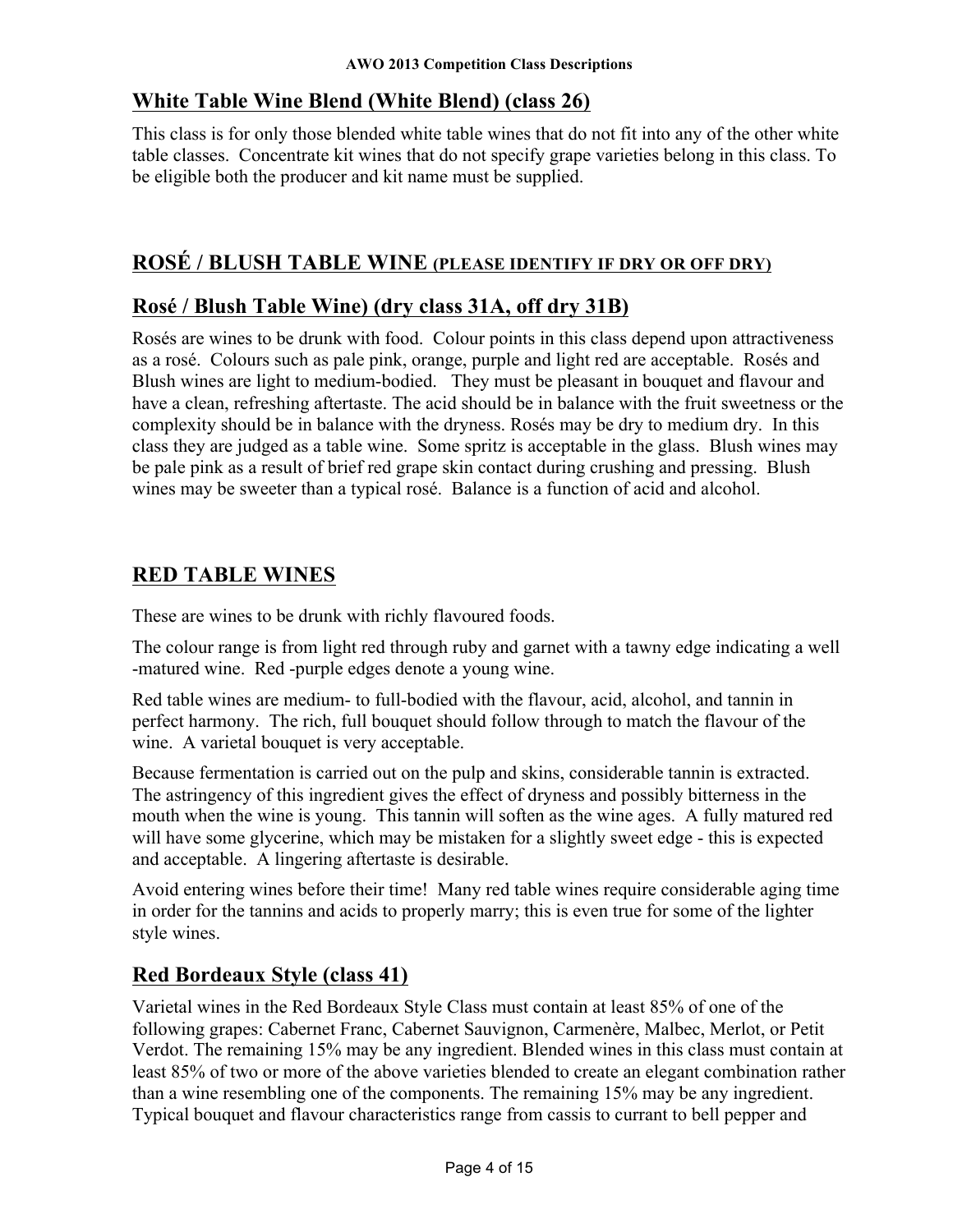#### **White Table Wine Blend (White Blend) (class 26)**

This class is for only those blended white table wines that do not fit into any of the other white table classes. Concentrate kit wines that do not specify grape varieties belong in this class. To be eligible both the producer and kit name must be supplied.

# **ROSÉ / BLUSH TABLE WINE (PLEASE IDENTIFY IF DRY OR OFF DRY)**

# **Rosé / Blush Table Wine) (dry class 31A, off dry 31B)**

Rosés are wines to be drunk with food. Colour points in this class depend upon attractiveness as a rosé. Colours such as pale pink, orange, purple and light red are acceptable. Rosés and Blush wines are light to medium-bodied. They must be pleasant in bouquet and flavour and have a clean, refreshing aftertaste. The acid should be in balance with the fruit sweetness or the complexity should be in balance with the dryness. Rosés may be dry to medium dry. In this class they are judged as a table wine. Some spritz is acceptable in the glass. Blush wines may be pale pink as a result of brief red grape skin contact during crushing and pressing. Blush wines may be sweeter than a typical rosé. Balance is a function of acid and alcohol.

#### **RED TABLE WINES**

These are wines to be drunk with richly flavoured foods.

The colour range is from light red through ruby and garnet with a tawny edge indicating a well -matured wine. Red -purple edges denote a young wine.

Red table wines are medium- to full-bodied with the flavour, acid, alcohol, and tannin in perfect harmony. The rich, full bouquet should follow through to match the flavour of the wine. A varietal bouquet is very acceptable.

Because fermentation is carried out on the pulp and skins, considerable tannin is extracted. The astringency of this ingredient gives the effect of dryness and possibly bitterness in the mouth when the wine is young. This tannin will soften as the wine ages. A fully matured red will have some glycerine, which may be mistaken for a slightly sweet edge - this is expected and acceptable. A lingering aftertaste is desirable.

Avoid entering wines before their time! Many red table wines require considerable aging time in order for the tannins and acids to properly marry; this is even true for some of the lighter style wines.

# **Red Bordeaux Style (class 41)**

Varietal wines in the Red Bordeaux Style Class must contain at least 85% of one of the following grapes: Cabernet Franc, Cabernet Sauvignon, Carmenère, Malbec, Merlot, or Petit Verdot. The remaining 15% may be any ingredient. Blended wines in this class must contain at least 85% of two or more of the above varieties blended to create an elegant combination rather than a wine resembling one of the components. The remaining 15% may be any ingredient. Typical bouquet and flavour characteristics range from cassis to currant to bell pepper and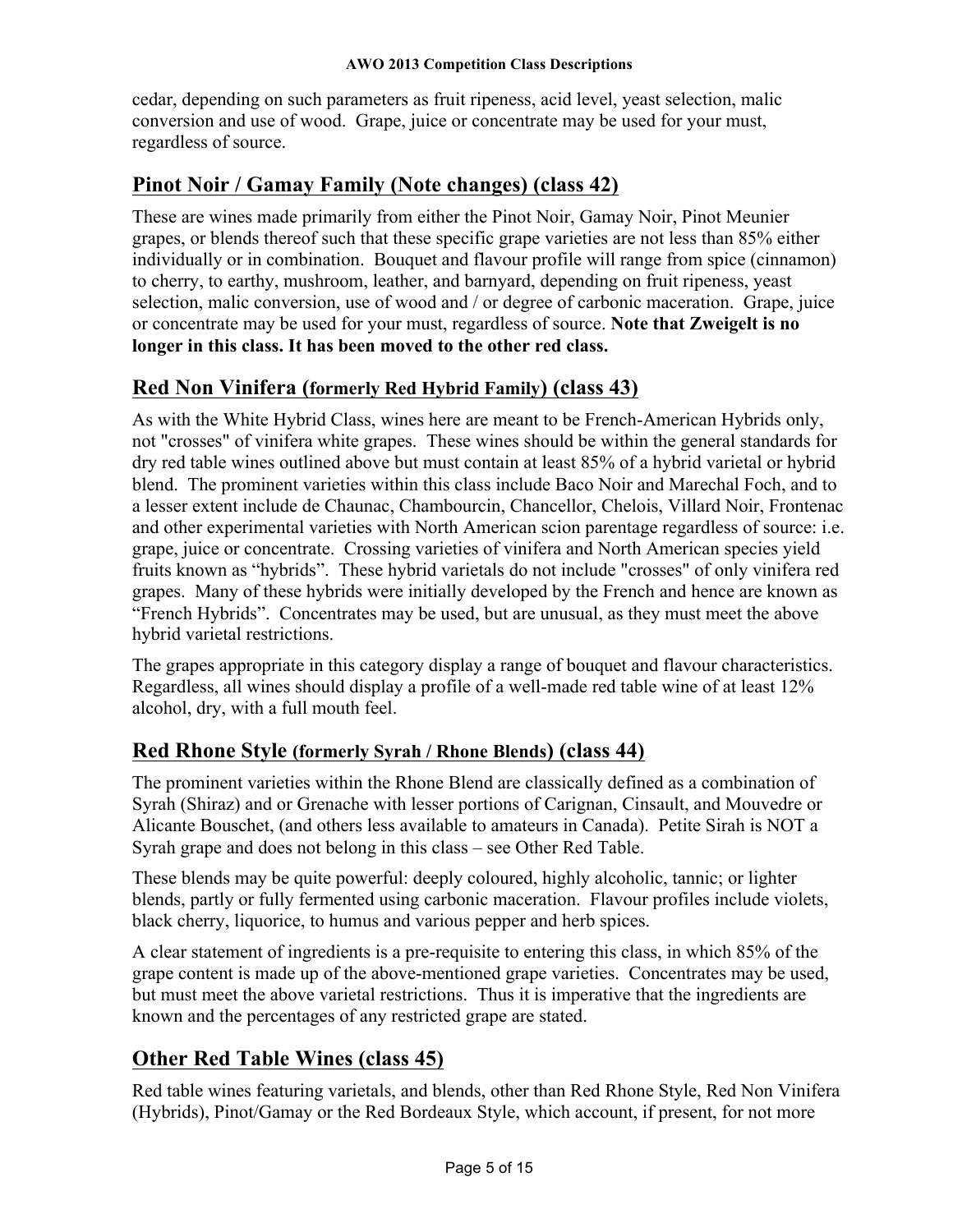cedar, depending on such parameters as fruit ripeness, acid level, yeast selection, malic conversion and use of wood. Grape, juice or concentrate may be used for your must, regardless of source.

#### **Pinot Noir / Gamay Family (Note changes) (class 42)**

These are wines made primarily from either the Pinot Noir, Gamay Noir, Pinot Meunier grapes, or blends thereof such that these specific grape varieties are not less than 85% either individually or in combination. Bouquet and flavour profile will range from spice (cinnamon) to cherry, to earthy, mushroom, leather, and barnyard, depending on fruit ripeness, yeast selection, malic conversion, use of wood and / or degree of carbonic maceration. Grape, juice or concentrate may be used for your must, regardless of source. **Note that Zweigelt is no longer in this class. It has been moved to the other red class.**

#### **Red Non Vinifera (formerly Red Hybrid Family) (class 43)**

As with the White Hybrid Class, wines here are meant to be French-American Hybrids only, not "crosses" of vinifera white grapes. These wines should be within the general standards for dry red table wines outlined above but must contain at least 85% of a hybrid varietal or hybrid blend. The prominent varieties within this class include Baco Noir and Marechal Foch, and to a lesser extent include de Chaunac, Chambourcin, Chancellor, Chelois, Villard Noir, Frontenac and other experimental varieties with North American scion parentage regardless of source: i.e. grape, juice or concentrate. Crossing varieties of vinifera and North American species yield fruits known as "hybrids". These hybrid varietals do not include "crosses" of only vinifera red grapes. Many of these hybrids were initially developed by the French and hence are known as "French Hybrids". Concentrates may be used, but are unusual, as they must meet the above hybrid varietal restrictions.

The grapes appropriate in this category display a range of bouquet and flavour characteristics. Regardless, all wines should display a profile of a well-made red table wine of at least 12% alcohol, dry, with a full mouth feel.

#### **Red Rhone Style (formerly Syrah / Rhone Blends) (class 44)**

The prominent varieties within the Rhone Blend are classically defined as a combination of Syrah (Shiraz) and or Grenache with lesser portions of Carignan, Cinsault, and Mouvedre or Alicante Bouschet, (and others less available to amateurs in Canada). Petite Sirah is NOT a Syrah grape and does not belong in this class – see Other Red Table.

These blends may be quite powerful: deeply coloured, highly alcoholic, tannic; or lighter blends, partly or fully fermented using carbonic maceration. Flavour profiles include violets, black cherry, liquorice, to humus and various pepper and herb spices.

A clear statement of ingredients is a pre-requisite to entering this class, in which 85% of the grape content is made up of the above-mentioned grape varieties. Concentrates may be used, but must meet the above varietal restrictions. Thus it is imperative that the ingredients are known and the percentages of any restricted grape are stated.

#### **Other Red Table Wines (class 45)**

Red table wines featuring varietals, and blends, other than Red Rhone Style, Red Non Vinifera (Hybrids), Pinot/Gamay or the Red Bordeaux Style, which account, if present, for not more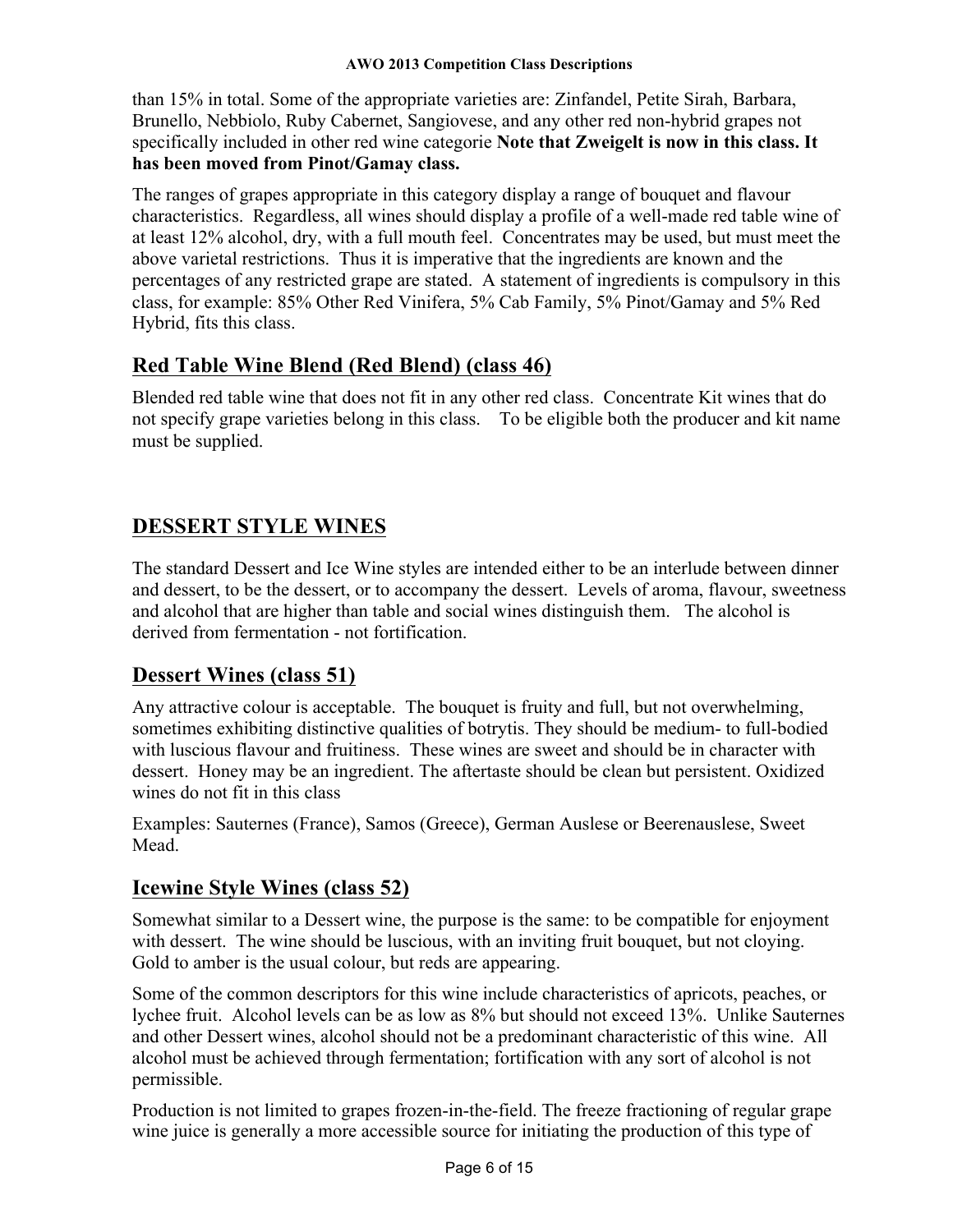than 15% in total. Some of the appropriate varieties are: Zinfandel, Petite Sirah, Barbara, Brunello, Nebbiolo, Ruby Cabernet, Sangiovese, and any other red non-hybrid grapes not specifically included in other red wine categorie **Note that Zweigelt is now in this class. It has been moved from Pinot/Gamay class.**

The ranges of grapes appropriate in this category display a range of bouquet and flavour characteristics. Regardless, all wines should display a profile of a well-made red table wine of at least 12% alcohol, dry, with a full mouth feel. Concentrates may be used, but must meet the above varietal restrictions. Thus it is imperative that the ingredients are known and the percentages of any restricted grape are stated. A statement of ingredients is compulsory in this class, for example: 85% Other Red Vinifera, 5% Cab Family, 5% Pinot/Gamay and 5% Red Hybrid, fits this class.

#### **Red Table Wine Blend (Red Blend) (class 46)**

Blended red table wine that does not fit in any other red class. Concentrate Kit wines that do not specify grape varieties belong in this class. To be eligible both the producer and kit name must be supplied.

# **DESSERT STYLE WINES**

The standard Dessert and Ice Wine styles are intended either to be an interlude between dinner and dessert, to be the dessert, or to accompany the dessert. Levels of aroma, flavour, sweetness and alcohol that are higher than table and social wines distinguish them. The alcohol is derived from fermentation - not fortification.

# **Dessert Wines (class 51)**

Any attractive colour is acceptable. The bouquet is fruity and full, but not overwhelming, sometimes exhibiting distinctive qualities of botrytis. They should be medium- to full-bodied with luscious flavour and fruitiness. These wines are sweet and should be in character with dessert. Honey may be an ingredient. The aftertaste should be clean but persistent. Oxidized wines do not fit in this class

Examples: Sauternes (France), Samos (Greece), German Auslese or Beerenauslese, Sweet Mead.

#### **Icewine Style Wines (class 52)**

Somewhat similar to a Dessert wine, the purpose is the same: to be compatible for enjoyment with dessert. The wine should be luscious, with an inviting fruit bouquet, but not cloying. Gold to amber is the usual colour, but reds are appearing.

Some of the common descriptors for this wine include characteristics of apricots, peaches, or lychee fruit. Alcohol levels can be as low as 8% but should not exceed 13%. Unlike Sauternes and other Dessert wines, alcohol should not be a predominant characteristic of this wine. All alcohol must be achieved through fermentation; fortification with any sort of alcohol is not permissible.

Production is not limited to grapes frozen-in-the-field. The freeze fractioning of regular grape wine juice is generally a more accessible source for initiating the production of this type of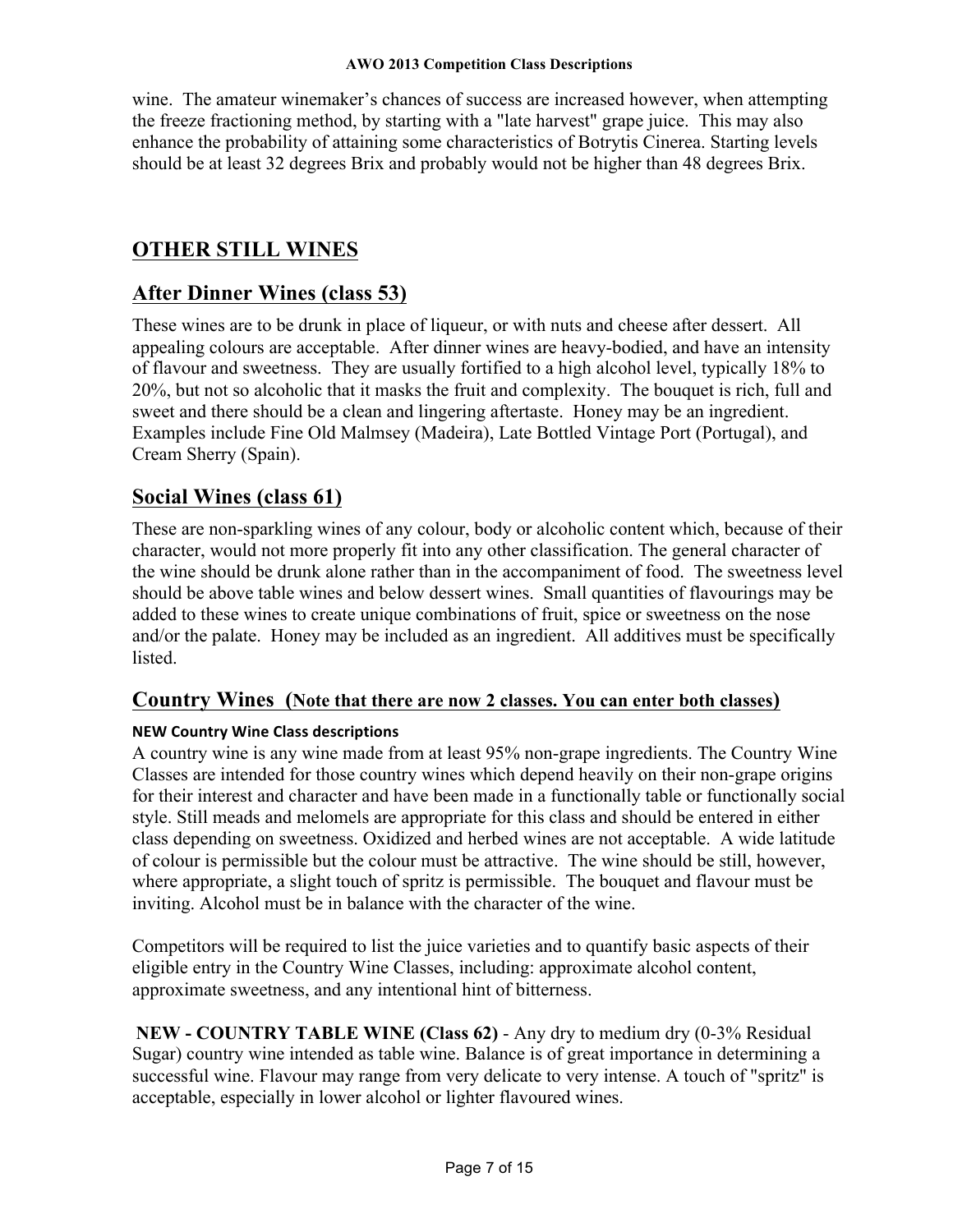#### **AWO 2013 Competition Class Descriptions**

wine. The amateur winemaker's chances of success are increased however, when attempting the freeze fractioning method, by starting with a "late harvest" grape juice. This may also enhance the probability of attaining some characteristics of Botrytis Cinerea. Starting levels should be at least 32 degrees Brix and probably would not be higher than 48 degrees Brix.

#### **OTHER STILL WINES**

#### **After Dinner Wines (class 53)**

These wines are to be drunk in place of liqueur, or with nuts and cheese after dessert. All appealing colours are acceptable. After dinner wines are heavy-bodied, and have an intensity of flavour and sweetness. They are usually fortified to a high alcohol level, typically 18% to 20%, but not so alcoholic that it masks the fruit and complexity. The bouquet is rich, full and sweet and there should be a clean and lingering aftertaste. Honey may be an ingredient. Examples include Fine Old Malmsey (Madeira), Late Bottled Vintage Port (Portugal), and Cream Sherry (Spain).

#### **Social Wines (class 61)**

These are non-sparkling wines of any colour, body or alcoholic content which, because of their character, would not more properly fit into any other classification. The general character of the wine should be drunk alone rather than in the accompaniment of food. The sweetness level should be above table wines and below dessert wines. Small quantities of flavourings may be added to these wines to create unique combinations of fruit, spice or sweetness on the nose and/or the palate. Honey may be included as an ingredient. All additives must be specifically **listed** 

#### **Country Wines (Note that there are now 2 classes. You can enter both classes)**

#### **NEW Country Wine Class descriptions**

A country wine is any wine made from at least 95% non-grape ingredients. The Country Wine Classes are intended for those country wines which depend heavily on their non-grape origins for their interest and character and have been made in a functionally table or functionally social style. Still meads and melomels are appropriate for this class and should be entered in either class depending on sweetness. Oxidized and herbed wines are not acceptable. A wide latitude of colour is permissible but the colour must be attractive. The wine should be still, however, where appropriate, a slight touch of spritz is permissible. The bouquet and flavour must be inviting. Alcohol must be in balance with the character of the wine.

Competitors will be required to list the juice varieties and to quantify basic aspects of their eligible entry in the Country Wine Classes, including: approximate alcohol content, approximate sweetness, and any intentional hint of bitterness.

**NEW - COUNTRY TABLE WINE (Class 62)** - Any dry to medium dry (0-3% Residual Sugar) country wine intended as table wine. Balance is of great importance in determining a successful wine. Flavour may range from very delicate to very intense. A touch of "spritz" is acceptable, especially in lower alcohol or lighter flavoured wines.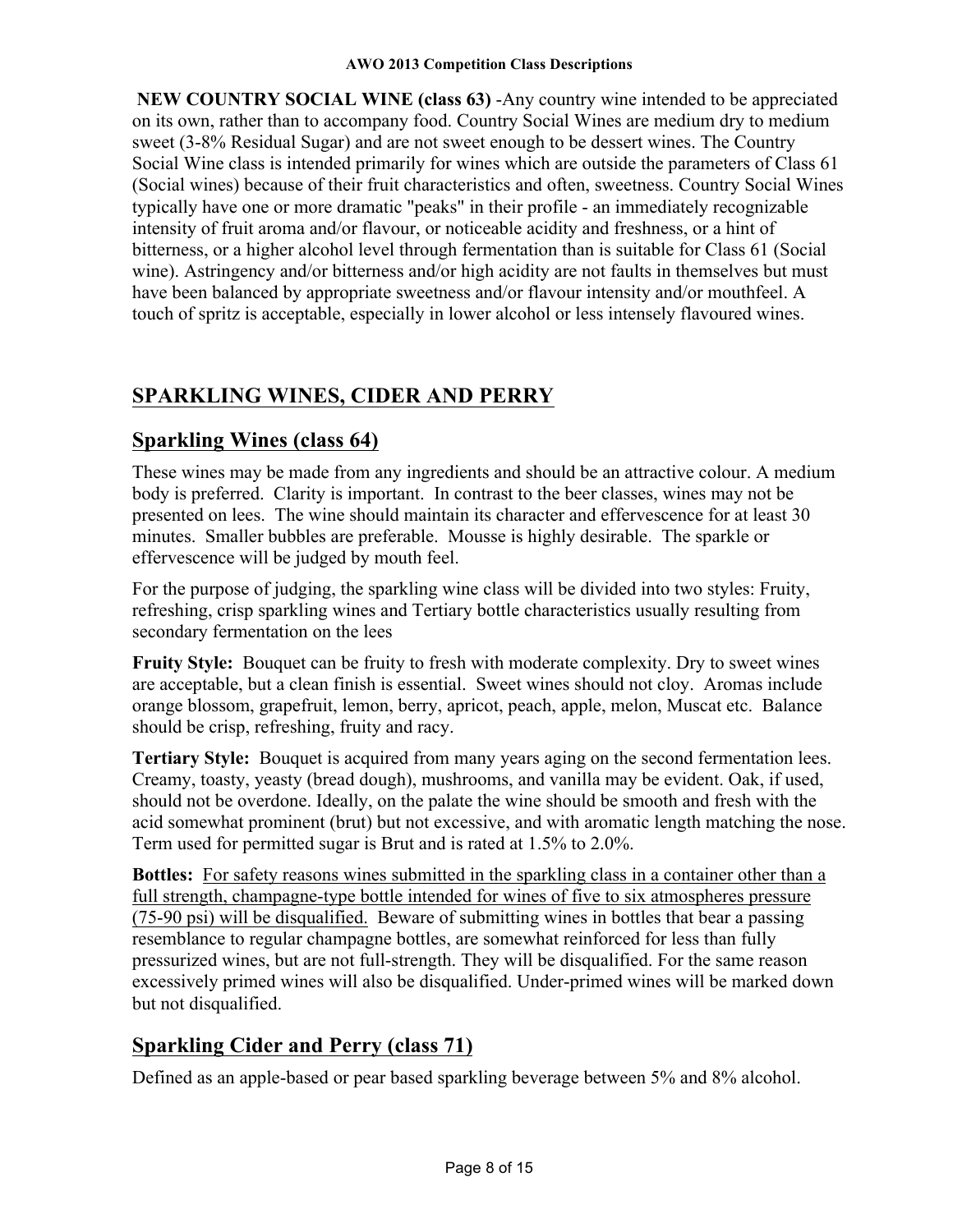**NEW COUNTRY SOCIAL WINE (class 63)** -Any country wine intended to be appreciated on its own, rather than to accompany food. Country Social Wines are medium dry to medium sweet (3-8% Residual Sugar) and are not sweet enough to be dessert wines. The Country Social Wine class is intended primarily for wines which are outside the parameters of Class 61 (Social wines) because of their fruit characteristics and often, sweetness. Country Social Wines typically have one or more dramatic "peaks" in their profile - an immediately recognizable intensity of fruit aroma and/or flavour, or noticeable acidity and freshness, or a hint of bitterness, or a higher alcohol level through fermentation than is suitable for Class 61 (Social wine). Astringency and/or bitterness and/or high acidity are not faults in themselves but must have been balanced by appropriate sweetness and/or flavour intensity and/or mouthfeel. A touch of spritz is acceptable, especially in lower alcohol or less intensely flavoured wines.

# **SPARKLING WINES, CIDER AND PERRY**

# **Sparkling Wines (class 64)**

These wines may be made from any ingredients and should be an attractive colour. A medium body is preferred. Clarity is important. In contrast to the beer classes, wines may not be presented on lees. The wine should maintain its character and effervescence for at least 30 minutes. Smaller bubbles are preferable. Mousse is highly desirable. The sparkle or effervescence will be judged by mouth feel.

For the purpose of judging, the sparkling wine class will be divided into two styles: Fruity, refreshing, crisp sparkling wines and Tertiary bottle characteristics usually resulting from secondary fermentation on the lees

**Fruity Style:** Bouquet can be fruity to fresh with moderate complexity. Dry to sweet wines are acceptable, but a clean finish is essential. Sweet wines should not cloy. Aromas include orange blossom, grapefruit, lemon, berry, apricot, peach, apple, melon, Muscat etc. Balance should be crisp, refreshing, fruity and racy.

**Tertiary Style:** Bouquet is acquired from many years aging on the second fermentation lees. Creamy, toasty, yeasty (bread dough), mushrooms, and vanilla may be evident. Oak, if used, should not be overdone. Ideally, on the palate the wine should be smooth and fresh with the acid somewhat prominent (brut) but not excessive, and with aromatic length matching the nose. Term used for permitted sugar is Brut and is rated at 1.5% to 2.0%.

**Bottles:** For safety reasons wines submitted in the sparkling class in a container other than a full strength, champagne-type bottle intended for wines of five to six atmospheres pressure (75-90 psi) will be disqualified. Beware of submitting wines in bottles that bear a passing resemblance to regular champagne bottles, are somewhat reinforced for less than fully pressurized wines, but are not full-strength. They will be disqualified. For the same reason excessively primed wines will also be disqualified. Under-primed wines will be marked down but not disqualified.

# **Sparkling Cider and Perry (class 71)**

Defined as an apple-based or pear based sparkling beverage between 5% and 8% alcohol.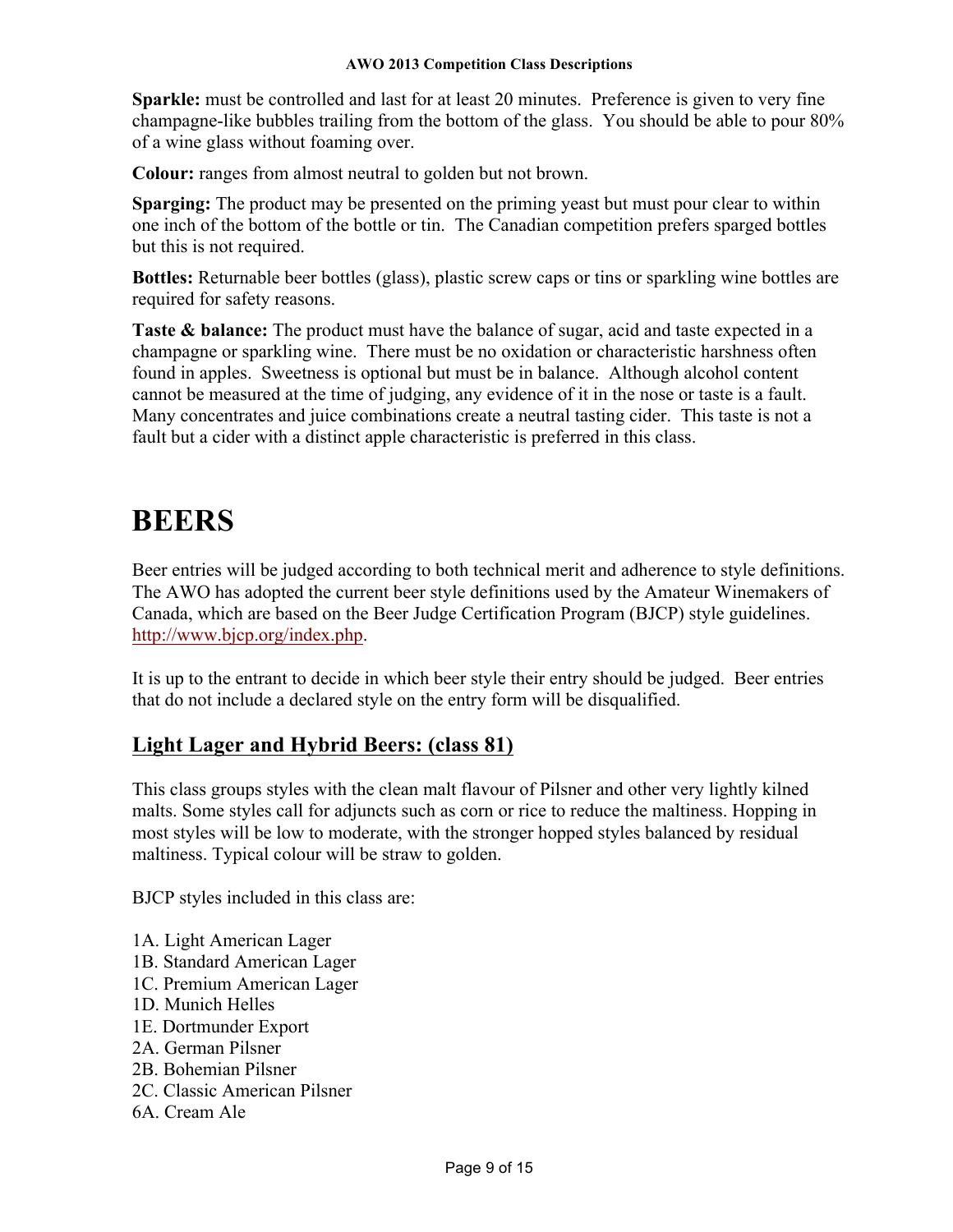**Sparkle:** must be controlled and last for at least 20 minutes. Preference is given to very fine champagne-like bubbles trailing from the bottom of the glass. You should be able to pour 80% of a wine glass without foaming over.

**Colour:** ranges from almost neutral to golden but not brown.

**Sparging:** The product may be presented on the priming yeast but must pour clear to within one inch of the bottom of the bottle or tin. The Canadian competition prefers sparged bottles but this is not required.

**Bottles:** Returnable beer bottles (glass), plastic screw caps or tins or sparkling wine bottles are required for safety reasons.

**Taste & balance:** The product must have the balance of sugar, acid and taste expected in a champagne or sparkling wine. There must be no oxidation or characteristic harshness often found in apples. Sweetness is optional but must be in balance. Although alcohol content cannot be measured at the time of judging, any evidence of it in the nose or taste is a fault. Many concentrates and juice combinations create a neutral tasting cider. This taste is not a fault but a cider with a distinct apple characteristic is preferred in this class.

# **BEERS**

Beer entries will be judged according to both technical merit and adherence to style definitions. The AWO has adopted the current beer style definitions used by the Amateur Winemakers of Canada, which are based on the Beer Judge Certification Program (BJCP) style guidelines. http://www.bjcp.org/index.php.

It is up to the entrant to decide in which beer style their entry should be judged. Beer entries that do not include a declared style on the entry form will be disqualified.

#### **Light Lager and Hybrid Beers: (class 81)**

This class groups styles with the clean malt flavour of Pilsner and other very lightly kilned malts. Some styles call for adjuncts such as corn or rice to reduce the maltiness. Hopping in most styles will be low to moderate, with the stronger hopped styles balanced by residual maltiness. Typical colour will be straw to golden.

BJCP styles included in this class are:

- 1A. Light American Lager
- 1B. Standard American Lager
- 1C. Premium American Lager
- 1D. Munich Helles
- 1E. Dortmunder Export
- 2A. German Pilsner
- 2B. Bohemian Pilsner
- 2C. Classic American Pilsner
- 6A. Cream Ale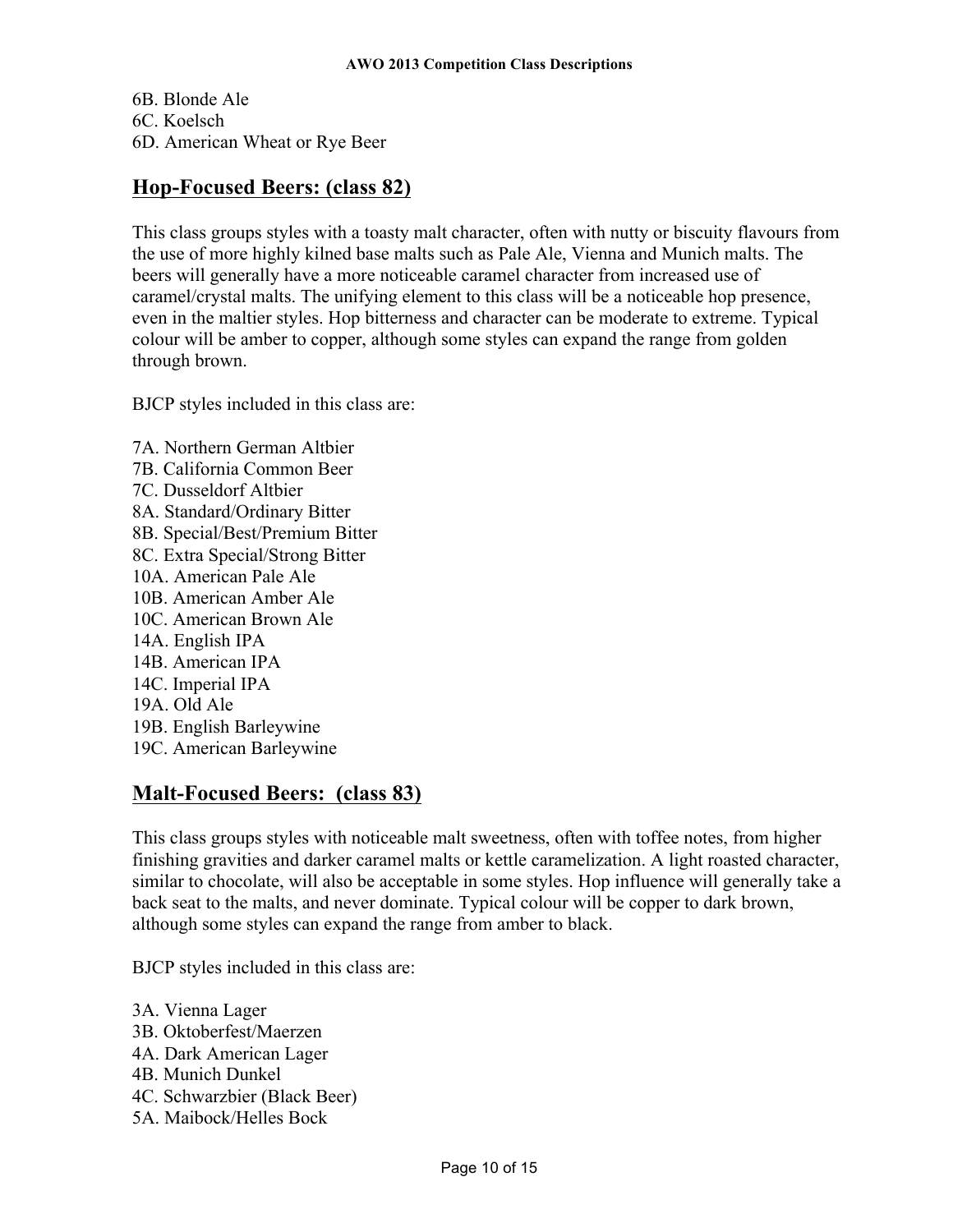6B. Blonde Ale 6C. Koelsch 6D. American Wheat or Rye Beer

# **Hop-Focused Beers: (class 82)**

This class groups styles with a toasty malt character, often with nutty or biscuity flavours from the use of more highly kilned base malts such as Pale Ale, Vienna and Munich malts. The beers will generally have a more noticeable caramel character from increased use of caramel/crystal malts. The unifying element to this class will be a noticeable hop presence, even in the maltier styles. Hop bitterness and character can be moderate to extreme. Typical colour will be amber to copper, although some styles can expand the range from golden through brown.

BJCP styles included in this class are:

7A. Northern German Altbier 7B. California Common Beer 7C. Dusseldorf Altbier 8A. Standard/Ordinary Bitter 8B. Special/Best/Premium Bitter 8C. Extra Special/Strong Bitter 10A. American Pale Ale 10B. American Amber Ale 10C. American Brown Ale 14A. English IPA 14B. American IPA 14C. Imperial IPA 19A. Old Ale 19B. English Barleywine 19C. American Barleywine

# **Malt-Focused Beers: (class 83)**

This class groups styles with noticeable malt sweetness, often with toffee notes, from higher finishing gravities and darker caramel malts or kettle caramelization. A light roasted character, similar to chocolate, will also be acceptable in some styles. Hop influence will generally take a back seat to the malts, and never dominate. Typical colour will be copper to dark brown, although some styles can expand the range from amber to black.

BJCP styles included in this class are:

3A. Vienna Lager 3B. Oktoberfest/Maerzen 4A. Dark American Lager 4B. Munich Dunkel 4C. Schwarzbier (Black Beer) 5A. Maibock/Helles Bock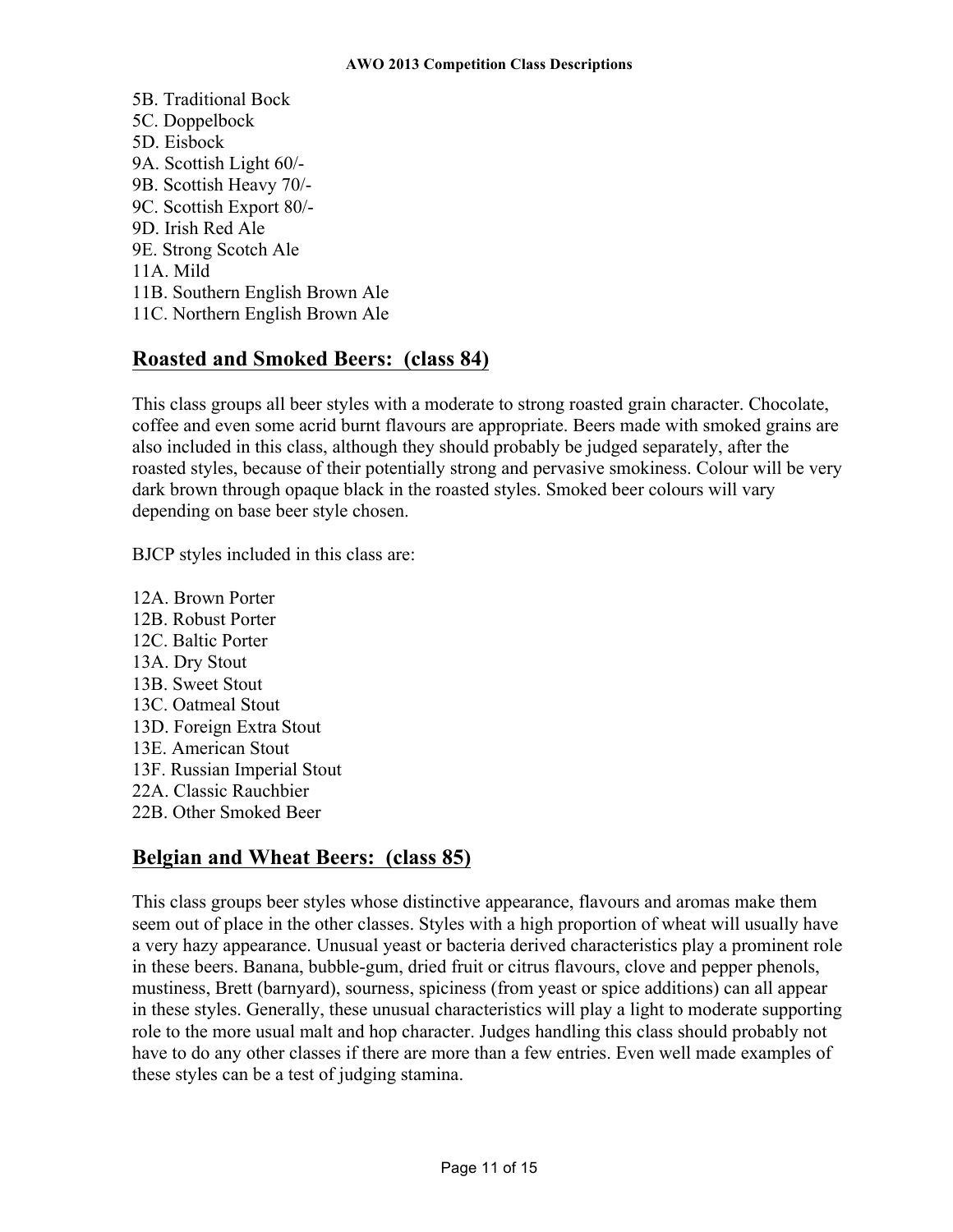5B. Traditional Bock 5C. Doppelbock 5D. Eisbock 9A. Scottish Light 60/- 9B. Scottish Heavy 70/- 9C. Scottish Export 80/- 9D. Irish Red Ale 9E. Strong Scotch Ale 11A. Mild 11B. Southern English Brown Ale 11C. Northern English Brown Ale

#### **Roasted and Smoked Beers: (class 84)**

This class groups all beer styles with a moderate to strong roasted grain character. Chocolate, coffee and even some acrid burnt flavours are appropriate. Beers made with smoked grains are also included in this class, although they should probably be judged separately, after the roasted styles, because of their potentially strong and pervasive smokiness. Colour will be very dark brown through opaque black in the roasted styles. Smoked beer colours will vary depending on base beer style chosen.

BJCP styles included in this class are:

12A. Brown Porter 12B. Robust Porter 12C. Baltic Porter 13A. Dry Stout 13B. Sweet Stout 13C. Oatmeal Stout 13D. Foreign Extra Stout 13E. American Stout 13F. Russian Imperial Stout 22A. Classic Rauchbier 22B. Other Smoked Beer

#### **Belgian and Wheat Beers: (class 85)**

This class groups beer styles whose distinctive appearance, flavours and aromas make them seem out of place in the other classes. Styles with a high proportion of wheat will usually have a very hazy appearance. Unusual yeast or bacteria derived characteristics play a prominent role in these beers. Banana, bubble-gum, dried fruit or citrus flavours, clove and pepper phenols, mustiness, Brett (barnyard), sourness, spiciness (from yeast or spice additions) can all appear in these styles. Generally, these unusual characteristics will play a light to moderate supporting role to the more usual malt and hop character. Judges handling this class should probably not have to do any other classes if there are more than a few entries. Even well made examples of these styles can be a test of judging stamina.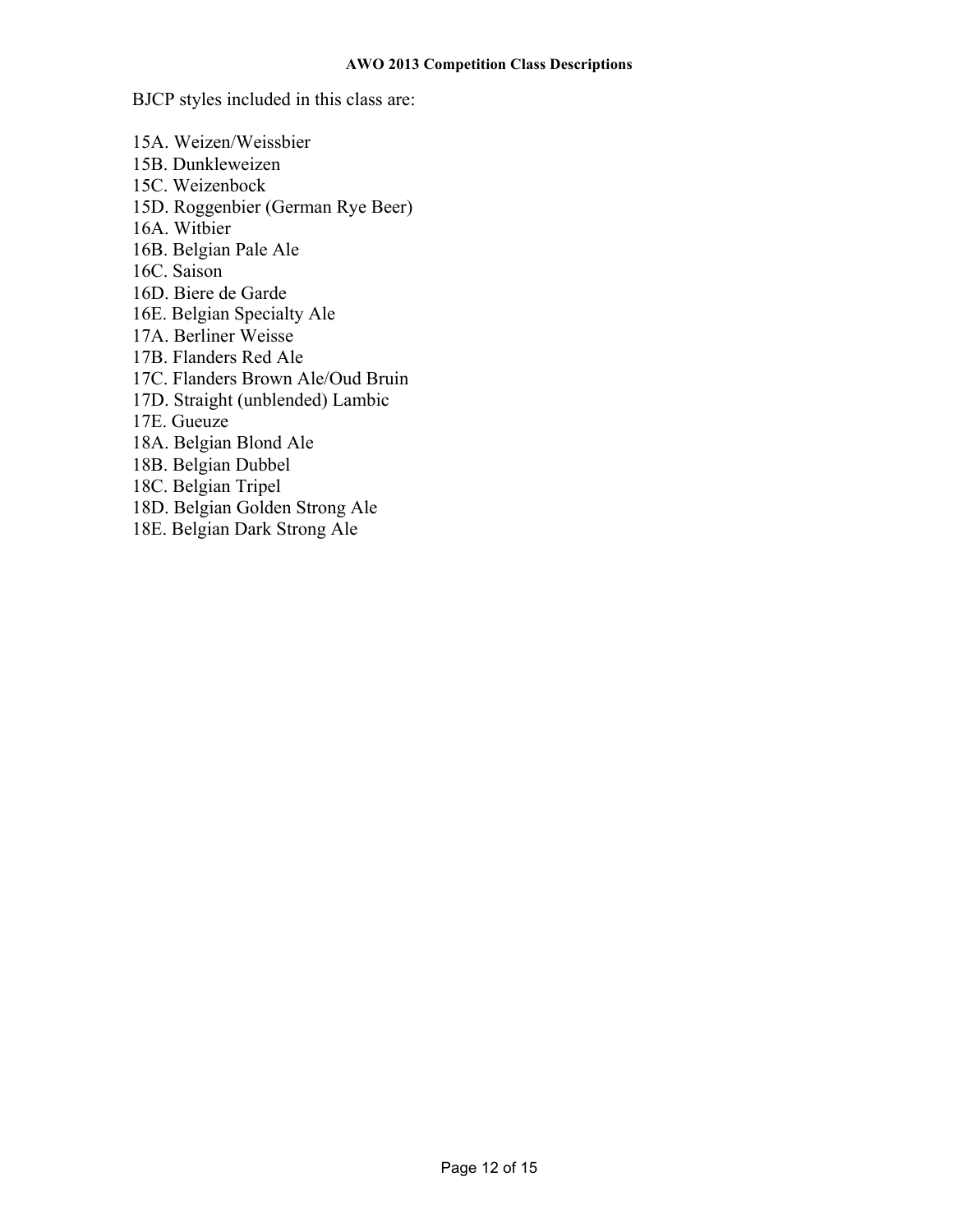BJCP styles included in this class are:

- 15A. Weizen/Weissbier
- 15B. Dunkleweizen
- 15C. Weizenbock
- 15D. Roggenbier (German Rye Beer)
- 16A. Witbier
- 16B. Belgian Pale Ale
- 16C. Saison
- 16D. Biere de Garde
- 16E. Belgian Specialty Ale
- 17A. Berliner Weisse
- 17B. Flanders Red Ale
- 17C. Flanders Brown Ale/Oud Bruin
- 17D. Straight (unblended) Lambic
- 17E. Gueuze
- 18A. Belgian Blond Ale
- 18B. Belgian Dubbel
- 18C. Belgian Tripel
- 18D. Belgian Golden Strong Ale
- 18E. Belgian Dark Strong Ale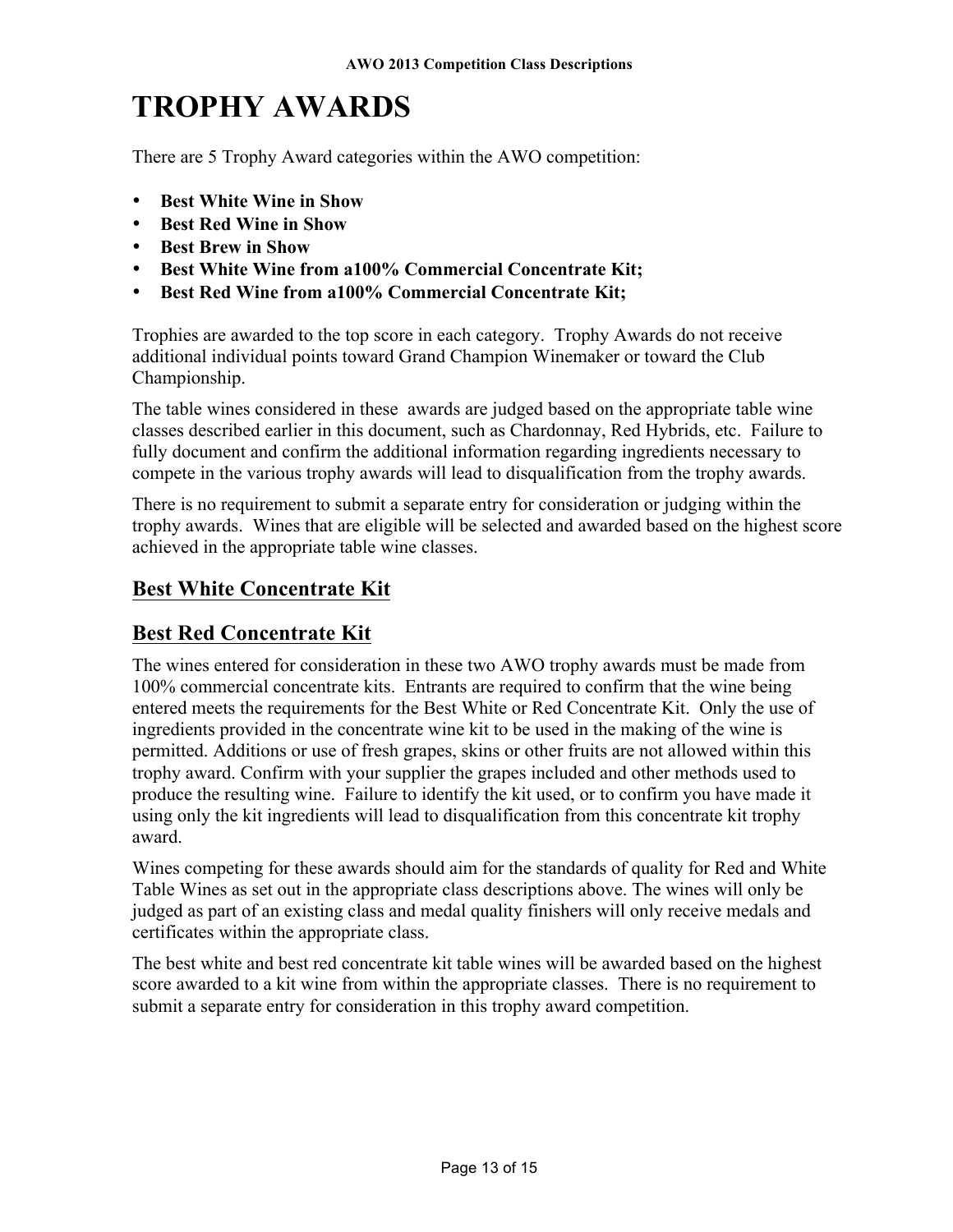# **TROPHY AWARDS**

There are 5 Trophy Award categories within the AWO competition:

- **Best White Wine in Show**
- **Best Red Wine in Show**
- **Best Brew in Show**
- **Best White Wine from a100% Commercial Concentrate Kit;**
- **Best Red Wine from a100% Commercial Concentrate Kit;**

Trophies are awarded to the top score in each category. Trophy Awards do not receive additional individual points toward Grand Champion Winemaker or toward the Club Championship.

The table wines considered in these awards are judged based on the appropriate table wine classes described earlier in this document, such as Chardonnay, Red Hybrids, etc. Failure to fully document and confirm the additional information regarding ingredients necessary to compete in the various trophy awards will lead to disqualification from the trophy awards.

There is no requirement to submit a separate entry for consideration or judging within the trophy awards. Wines that are eligible will be selected and awarded based on the highest score achieved in the appropriate table wine classes.

# **Best White Concentrate Kit**

#### **Best Red Concentrate Kit**

The wines entered for consideration in these two AWO trophy awards must be made from 100% commercial concentrate kits. Entrants are required to confirm that the wine being entered meets the requirements for the Best White or Red Concentrate Kit. Only the use of ingredients provided in the concentrate wine kit to be used in the making of the wine is permitted. Additions or use of fresh grapes, skins or other fruits are not allowed within this trophy award. Confirm with your supplier the grapes included and other methods used to produce the resulting wine. Failure to identify the kit used, or to confirm you have made it using only the kit ingredients will lead to disqualification from this concentrate kit trophy award.

Wines competing for these awards should aim for the standards of quality for Red and White Table Wines as set out in the appropriate class descriptions above. The wines will only be judged as part of an existing class and medal quality finishers will only receive medals and certificates within the appropriate class.

The best white and best red concentrate kit table wines will be awarded based on the highest score awarded to a kit wine from within the appropriate classes. There is no requirement to submit a separate entry for consideration in this trophy award competition.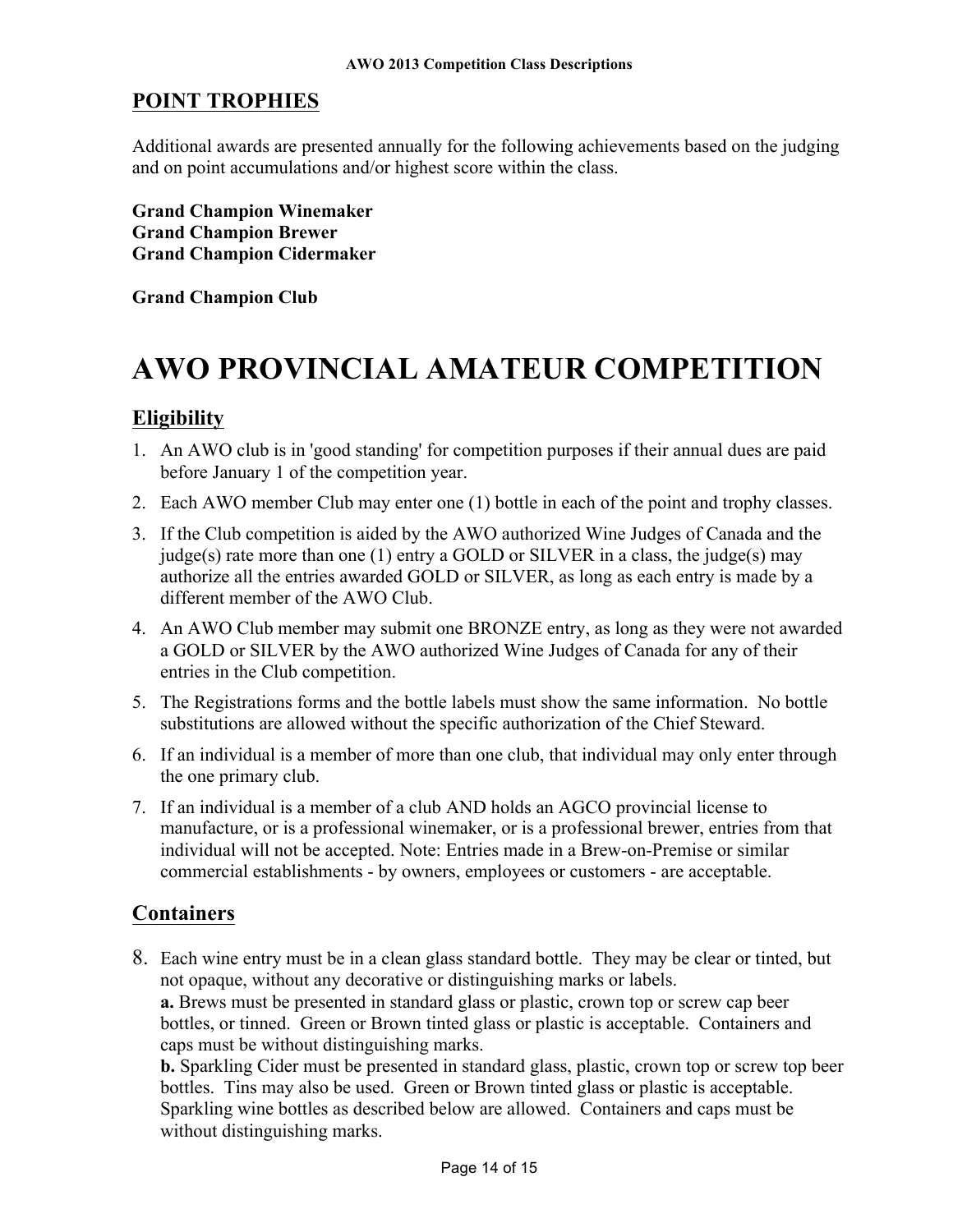#### **POINT TROPHIES**

Additional awards are presented annually for the following achievements based on the judging and on point accumulations and/or highest score within the class.

**Grand Champion Winemaker Grand Champion Brewer Grand Champion Cidermaker** 

**Grand Champion Club** 

# **AWO PROVINCIAL AMATEUR COMPETITION**

#### **Eligibility**

- 1. An AWO club is in 'good standing' for competition purposes if their annual dues are paid before January 1 of the competition year.
- 2. Each AWO member Club may enter one (1) bottle in each of the point and trophy classes.
- 3. If the Club competition is aided by the AWO authorized Wine Judges of Canada and the judge(s) rate more than one (1) entry a GOLD or SILVER in a class, the judge(s) may authorize all the entries awarded GOLD or SILVER, as long as each entry is made by a different member of the AWO Club.
- 4. An AWO Club member may submit one BRONZE entry, as long as they were not awarded a GOLD or SILVER by the AWO authorized Wine Judges of Canada for any of their entries in the Club competition.
- 5. The Registrations forms and the bottle labels must show the same information. No bottle substitutions are allowed without the specific authorization of the Chief Steward.
- 6. If an individual is a member of more than one club, that individual may only enter through the one primary club.
- 7. If an individual is a member of a club AND holds an AGCO provincial license to manufacture, or is a professional winemaker, or is a professional brewer, entries from that individual will not be accepted. Note: Entries made in a Brew-on-Premise or similar commercial establishments - by owners, employees or customers - are acceptable.

#### **Containers**

8. Each wine entry must be in a clean glass standard bottle. They may be clear or tinted, but not opaque, without any decorative or distinguishing marks or labels. **a.** Brews must be presented in standard glass or plastic, crown top or screw cap beer bottles, or tinned. Green or Brown tinted glass or plastic is acceptable. Containers and caps must be without distinguishing marks.

**b.** Sparkling Cider must be presented in standard glass, plastic, crown top or screw top beer bottles. Tins may also be used. Green or Brown tinted glass or plastic is acceptable. Sparkling wine bottles as described below are allowed. Containers and caps must be without distinguishing marks.